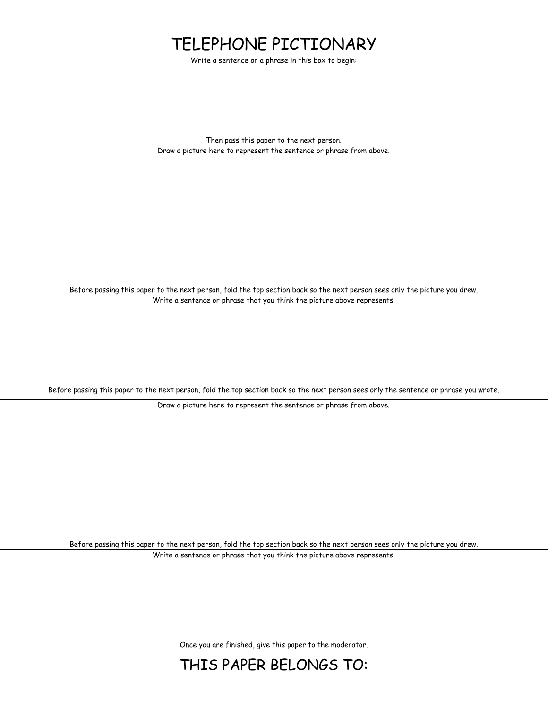## TELEPHONE PICTIONARY

Write a sentence or a phrase in this box to begin:

Then pass this paper to the next person.

Draw a picture here to represent the sentence or phrase from above.

Before passing this paper to the next person, fold the top section back so the next person sees only the picture you drew. Write a sentence or phrase that you think the picture above represents.

Before passing this paper to the next person, fold the top section back so the next person sees only the sentence or phrase you wrote.

Draw a picture here to represent the sentence or phrase from above.

Before passing this paper to the next person, fold the top section back so the next person sees only the picture you drew. Write a sentence or phrase that you think the picture above represents.

Once you are finished, give this paper to the moderator.